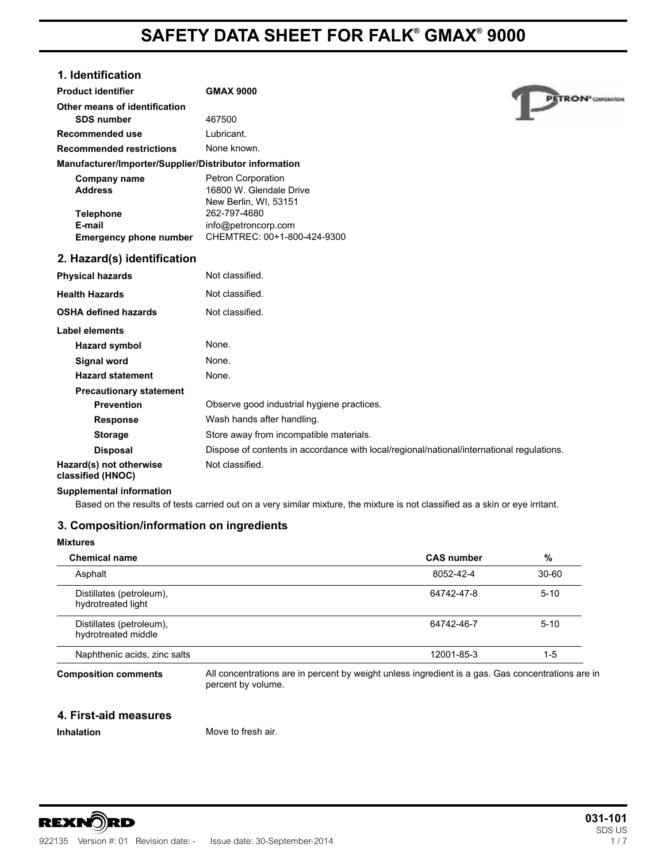# **1. Identification**

| <b>Product identifier</b>                              | <b>GMAX 9000</b>                                                              |
|--------------------------------------------------------|-------------------------------------------------------------------------------|
| Other means of identification                          |                                                                               |
| <b>SDS number</b>                                      | 467500                                                                        |
| Recommended use                                        | Lubricant.                                                                    |
| <b>Recommended restrictions</b>                        | None known.                                                                   |
| Manufacturer/Importer/Supplier/Distributor information |                                                                               |
| Company name<br><b>Address</b>                         | <b>Petron Corporation</b><br>16800 W. Glendale Drive<br>New Berlin, WI, 53151 |
| <b>Telephone</b>                                       | 262-797-4680                                                                  |
| E-mail                                                 | info@petroncorp.com                                                           |
| <b>Emergency phone number</b>                          | CHEMTREC: 00+1-800-424-9300                                                   |
| 2. Hazard(s) identification                            |                                                                               |
| <b>Physical hazards</b>                                | Not classified.                                                               |
| <b>Health Hazards</b>                                  | Not classified.                                                               |
| <b>OSHA defined hazards</b>                            | Not classified.                                                               |
| Label elements                                         |                                                                               |
| <b>Hazard symbol</b>                                   | None.                                                                         |
| <b>Signal word</b>                                     | None.                                                                         |
| <b>Hazard statement</b>                                | None.                                                                         |
| <b>Precautionary statement</b>                         |                                                                               |
| <b>Prevention</b>                                      | Observe good industrial hygiene practices.                                    |
| <b>Response</b>                                        | Wash hands after handling.                                                    |

**Storage** Store away from incompatible materials. Disposal **Dispose of contents in accordance with local/regional/national/international regulations. Hazard(s) not otherwise classified (HNOC)** Not classified. **Hazard symbol** None.

# **Supplemental information**

Based on the results of tests carried out on a very similar mixture, the mixture is not classified as a skin or eye irritant. **Prevention** Observe good industrial hygiene practices.

# **3. Composition/information on ingredients**

# **Mixtures**

| <b>Chemical name</b>                            | <b>CAS number</b>                                                                                 | %         |
|-------------------------------------------------|---------------------------------------------------------------------------------------------------|-----------|
| Asphalt                                         | 8052-42-4                                                                                         | $30 - 60$ |
| Distillates (petroleum),<br>hydrotreated light  | 64742-47-8                                                                                        | $5 - 10$  |
| Distillates (petroleum),<br>hydrotreated middle | 64742-46-7                                                                                        | $5 - 10$  |
| Naphthenic acids, zinc salts                    | 12001-85-3                                                                                        | 1-5       |
| <b>Composition comments</b>                     | All concentrations are in percent by weight unless ingredient is a gas. Gas concentrations are in |           |

percent by volume.

# **4. First-aid measures**

**Inhalation** Move to fresh air.



PETRON<sup>\*</sup>COMPORATION

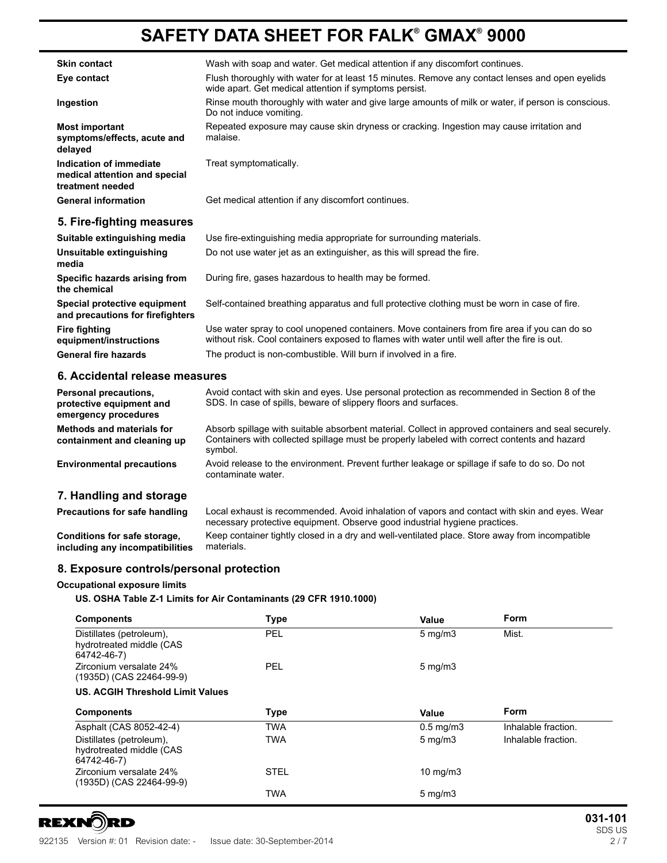| <b>Skin contact</b>                                                          | Wash with soap and water. Get medical attention if any discomfort continues.                                                                              |
|------------------------------------------------------------------------------|-----------------------------------------------------------------------------------------------------------------------------------------------------------|
| Eye contact                                                                  | Flush thoroughly with water for at least 15 minutes. Remove any contact lenses and open eyelids<br>wide apart. Get medical attention if symptoms persist. |
| Ingestion                                                                    | Rinse mouth thoroughly with water and give large amounts of milk or water, if person is conscious.<br>Do not induce vomiting.                             |
| <b>Most important</b><br>symptoms/effects, acute and<br>delayed              | Repeated exposure may cause skin dryness or cracking. Ingestion may cause irritation and<br>malaise.                                                      |
| Indication of immediate<br>medical attention and special<br>treatment needed | Treat symptomatically.                                                                                                                                    |
| <b>General information</b>                                                   | Get medical attention if any discomfort continues.                                                                                                        |
| 5. Fire-fighting measures                                                    |                                                                                                                                                           |
|                                                                              |                                                                                                                                                           |

| Suitable extinguishing media                                            | Use fire-extinguishing media appropriate for surrounding materials.                                                                                                                          |
|-------------------------------------------------------------------------|----------------------------------------------------------------------------------------------------------------------------------------------------------------------------------------------|
| Unsuitable extinguishing<br>media                                       | Do not use water jet as an extinguisher, as this will spread the fire.                                                                                                                       |
| Specific hazards arising from<br>the chemical                           | During fire, gases hazardous to health may be formed.                                                                                                                                        |
| <b>Special protective equipment</b><br>and precautions for firefighters | Self-contained breathing apparatus and full protective clothing must be worn in case of fire.                                                                                                |
| Fire fighting<br>equipment/instructions                                 | Use water spray to cool unopened containers. Move containers from fire area if you can do so<br>without risk. Cool containers exposed to flames with water until well after the fire is out. |
| General fire hazards                                                    | The product is non-combustible. Will burn if involved in a fire.                                                                                                                             |

# **6. Accidental release measures**

| <b>Personal precautions,</b><br>protective equipment and<br>emergency procedures | Avoid contact with skin and eyes. Use personal protection as recommended in Section 8 of the<br>SDS. In case of spills, beware of slippery floors and surfaces.                                                               |
|----------------------------------------------------------------------------------|-------------------------------------------------------------------------------------------------------------------------------------------------------------------------------------------------------------------------------|
| Methods and materials for<br>containment and cleaning up                         | Absorb spillage with suitable absorbent material. Collect in approved containers and seal securely.<br>Containers with collected spillage must be properly labeled with correct contents and hazard<br>symbol.                |
| <b>Environmental precautions</b>                                                 | Avoid release to the environment. Prevent further leakage or spillage if safe to do so. Do not<br>contaminate water.                                                                                                          |
| 7. Handling and storage                                                          |                                                                                                                                                                                                                               |
|                                                                                  | man and an anti-man and the state of the contract of the state of the contract of the state of the state of the state of the state of the state of the state of the state of the state of the state of the state of the state |

| <b>Precautions for safe handling</b> | Local exhaust is recommended. Avoid inhalation of vapors and contact with skin and eyes. Wear<br>necessary protective equipment. Observe good industrial hygiene practices. |
|--------------------------------------|-----------------------------------------------------------------------------------------------------------------------------------------------------------------------------|
| Conditions for safe storage.         | Keep container tightly closed in a dry and well-ventilated place. Store away from incompatible                                                                              |
| including any incompatibilities      | materials.                                                                                                                                                                  |

# **8. Exposure controls/personal protection**

# **Occupational exposure limits**

# **US. OSHA Table Z-1 Limits for Air Contaminants (29 CFR 1910.1000)**

| <b>Components</b>                                                   | Type        | Value              | Form                |
|---------------------------------------------------------------------|-------------|--------------------|---------------------|
| Distillates (petroleum),<br>hydrotreated middle (CAS<br>64742-46-7) | PEL         | $5 \text{ mg/m}$   | Mist.               |
| Zirconium versalate 24%<br>(1935D) (CAS 22464-99-9)                 | <b>PEL</b>  | $5 \text{ mg/m}$   |                     |
| <b>US. ACGIH Threshold Limit Values</b>                             |             |                    |                     |
| <b>Components</b>                                                   | <b>Type</b> | Value              | Form                |
| Asphalt (CAS 8052-42-4)                                             | TWA         | $0.5 \text{ mg/m}$ | Inhalable fraction. |
| Distillates (petroleum).<br>hydrotreated middle (CAS<br>64742-46-7) | <b>TWA</b>  | $5 \text{ mg/m}$   | Inhalable fraction. |
| Zirconium versalate 24%<br>(1935D) (CAS 22464-99-9)                 | <b>STEL</b> | $10 \text{ mg/m}$  |                     |
|                                                                     | <b>TWA</b>  | $5 \text{ mg/m}$   |                     |

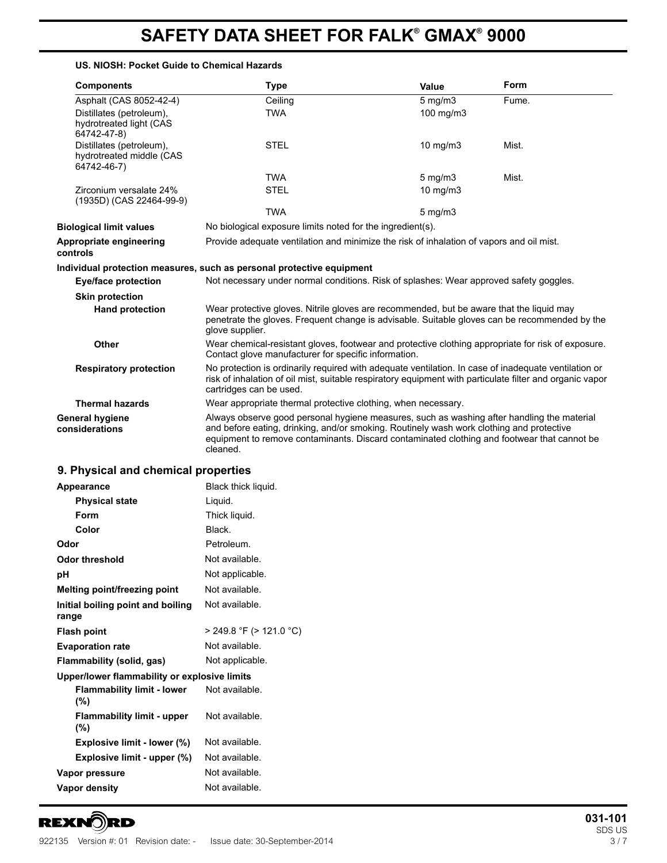### **US. NIOSH: Pocket Guide to Chemical Hazards**

| <b>Components</b>                                                   | <b>Type</b>                                                                                                                                                                                                                                                                                       | Value              | Form  |
|---------------------------------------------------------------------|---------------------------------------------------------------------------------------------------------------------------------------------------------------------------------------------------------------------------------------------------------------------------------------------------|--------------------|-------|
| Asphalt (CAS 8052-42-4)                                             | Ceiling                                                                                                                                                                                                                                                                                           | $5$ mg/m $3$       | Fume. |
| Distillates (petroleum),<br>hydrotreated light (CAS<br>64742-47-8)  | <b>TWA</b>                                                                                                                                                                                                                                                                                        | 100 mg/m3          |       |
| Distillates (petroleum),<br>hydrotreated middle (CAS<br>64742-46-7) | <b>STEL</b>                                                                                                                                                                                                                                                                                       | $10 \text{ mg/m}$  | Mist. |
|                                                                     | <b>TWA</b>                                                                                                                                                                                                                                                                                        | $5 \text{ mg/m}$ 3 | Mist. |
| Zirconium versalate 24%<br>(1935D) (CAS 22464-99-9)                 | <b>STEL</b>                                                                                                                                                                                                                                                                                       | $10 \text{ mg/m}$  |       |
|                                                                     | <b>TWA</b>                                                                                                                                                                                                                                                                                        | $5 \text{ mg/m}$   |       |
| <b>Biological limit values</b>                                      | No biological exposure limits noted for the ingredient(s).                                                                                                                                                                                                                                        |                    |       |
| Appropriate engineering<br>controls                                 | Provide adequate ventilation and minimize the risk of inhalation of vapors and oil mist.                                                                                                                                                                                                          |                    |       |
|                                                                     | Individual protection measures, such as personal protective equipment                                                                                                                                                                                                                             |                    |       |
| Eye/face protection                                                 | Not necessary under normal conditions. Risk of splashes: Wear approved safety goggles.                                                                                                                                                                                                            |                    |       |
| <b>Skin protection</b>                                              |                                                                                                                                                                                                                                                                                                   |                    |       |
| <b>Hand protection</b>                                              | Wear protective gloves. Nitrile gloves are recommended, but be aware that the liquid may<br>penetrate the gloves. Frequent change is advisable. Suitable gloves can be recommended by the<br>glove supplier.                                                                                      |                    |       |
| <b>Other</b>                                                        | Wear chemical-resistant gloves, footwear and protective clothing appropriate for risk of exposure.<br>Contact glove manufacturer for specific information.                                                                                                                                        |                    |       |
| <b>Respiratory protection</b>                                       | No protection is ordinarily required with adequate ventilation. In case of inadequate ventilation or<br>risk of inhalation of oil mist, suitable respiratory equipment with particulate filter and organic vapor<br>cartridges can be used.                                                       |                    |       |
| <b>Thermal hazards</b>                                              | Wear appropriate thermal protective clothing, when necessary.                                                                                                                                                                                                                                     |                    |       |
| General hygiene<br>considerations                                   | Always observe good personal hygiene measures, such as washing after handling the material<br>and before eating, drinking, and/or smoking. Routinely wash work clothing and protective<br>equipment to remove contaminants. Discard contaminated clothing and footwear that cannot be<br>cleaned. |                    |       |

# **9. Physical and chemical properties**

| Appearance                                   | Black thick liquid.     |
|----------------------------------------------|-------------------------|
| <b>Physical state</b>                        | Liguid.                 |
| Form                                         | Thick liquid.           |
| Color                                        | Black.                  |
| Odor                                         | Petroleum.              |
| Odor threshold                               | Not available.          |
| рH                                           | Not applicable.         |
| Melting point/freezing point                 | Not available.          |
| Initial boiling point and boiling<br>range   | Not available.          |
| Flash point                                  | > 249.8 °F (> 121.0 °C) |
| <b>Evaporation rate</b>                      | Not available.          |
| Flammability (solid, gas)                    | Not applicable.         |
| Upper/lower flammability or explosive limits |                         |
| <b>Flammability limit - lower</b><br>(%)     | Not available.          |
| <b>Flammability limit - upper</b><br>(%)     | Not available.          |
| Explosive limit - lower (%)                  | Not available.          |
| Explosive limit - upper (%)                  | Not available.          |
| Vapor pressure                               | Not available.          |
| <b>Vapor density</b>                         | Not available.          |
|                                              |                         |

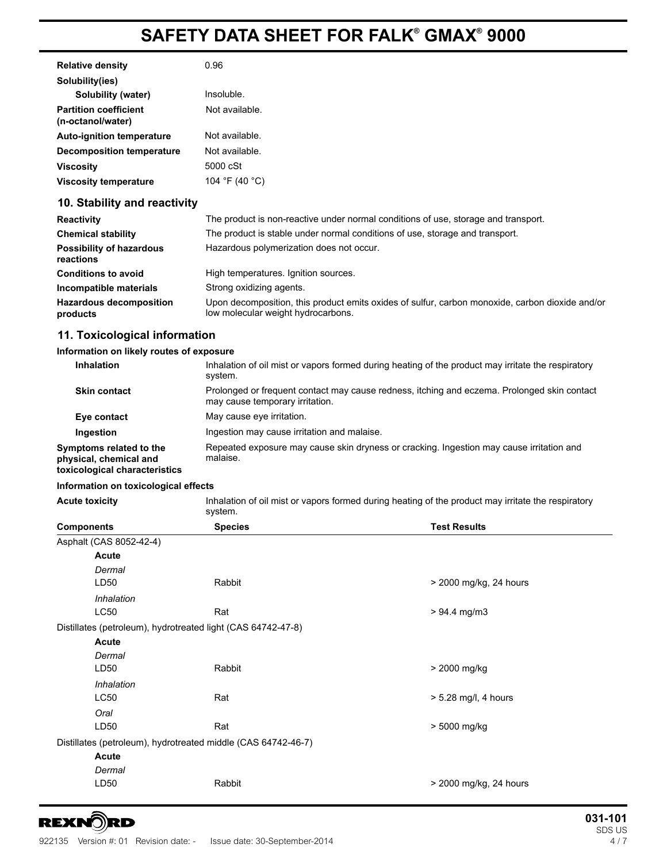| <b>Relative density</b>                           | 0.96           |
|---------------------------------------------------|----------------|
| Solubility(ies)                                   |                |
| Solubility (water)                                | Insoluble.     |
| <b>Partition coefficient</b><br>(n-octanol/water) | Not available. |
| <b>Auto-ignition temperature</b>                  | Not available. |
| Decomposition temperature                         | Not available. |
| Viscosity                                         | 5000 cSt       |
| <b>Viscosity temperature</b>                      | 104 °F (40 °C) |

# **10. Stability and reactivity**

| <b>Reactivity</b>                            | The product is non-reactive under normal conditions of use, storage and transport.                                                    |
|----------------------------------------------|---------------------------------------------------------------------------------------------------------------------------------------|
| <b>Chemical stability</b>                    | The product is stable under normal conditions of use, storage and transport.                                                          |
| <b>Possibility of hazardous</b><br>reactions | Hazardous polymerization does not occur.                                                                                              |
| <b>Conditions to avoid</b>                   | High temperatures. Ignition sources.                                                                                                  |
| Incompatible materials                       | Strong oxidizing agents.                                                                                                              |
| <b>Hazardous decomposition</b><br>products   | Upon decomposition, this product emits oxides of sulfur, carbon monoxide, carbon dioxide and/or<br>low molecular weight hydrocarbons. |

# **11. Toxicological information**

# **Information on likely routes of exposure**

| <b>Inhalation</b>                                                                  | Inhalation of oil mist or vapors formed during heating of the product may irritate the respiratory<br>system.                  |
|------------------------------------------------------------------------------------|--------------------------------------------------------------------------------------------------------------------------------|
| <b>Skin contact</b>                                                                | Prolonged or frequent contact may cause redness, itching and eczema. Prolonged skin contact<br>may cause temporary irritation. |
| Eye contact                                                                        | May cause eye irritation.                                                                                                      |
| Ingestion                                                                          | Ingestion may cause irritation and malaise.                                                                                    |
| Symptoms related to the<br>physical, chemical and<br>toxicological characteristics | Repeated exposure may cause skin dryness or cracking. Ingestion may cause irritation and<br>malaise.                           |

## **Information on toxicological effects**

| <b>Acute toxicity</b> | Inhalation of oil mist or vapors formed during heating of the product may irritate the respiratory |  |
|-----------------------|----------------------------------------------------------------------------------------------------|--|
|                       | system.                                                                                            |  |

| <b>Components</b>                                             |                                                              | <b>Species</b> | <b>Test Results</b>    |
|---------------------------------------------------------------|--------------------------------------------------------------|----------------|------------------------|
|                                                               | Asphalt (CAS 8052-42-4)                                      |                |                        |
|                                                               | Acute                                                        |                |                        |
|                                                               | Dermal                                                       |                |                        |
|                                                               | LD50                                                         | Rabbit         | > 2000 mg/kg, 24 hours |
|                                                               | Inhalation                                                   |                |                        |
|                                                               | <b>LC50</b>                                                  | Rat            | $> 94.4$ mg/m3         |
|                                                               | Distillates (petroleum), hydrotreated light (CAS 64742-47-8) |                |                        |
|                                                               | Acute                                                        |                |                        |
|                                                               | Dermal                                                       |                |                        |
|                                                               | LD50                                                         | Rabbit         | > 2000 mg/kg           |
|                                                               | Inhalation                                                   |                |                        |
|                                                               | <b>LC50</b>                                                  | Rat            | > 5.28 mg/l, 4 hours   |
|                                                               | Oral                                                         |                |                        |
|                                                               | LD50                                                         | Rat            | > 5000 mg/kg           |
| Distillates (petroleum), hydrotreated middle (CAS 64742-46-7) |                                                              |                |                        |
|                                                               | Acute                                                        |                |                        |
|                                                               | Dermal                                                       |                |                        |
|                                                               | LD50                                                         | Rabbit         | > 2000 mg/kg, 24 hours |
|                                                               |                                                              |                |                        |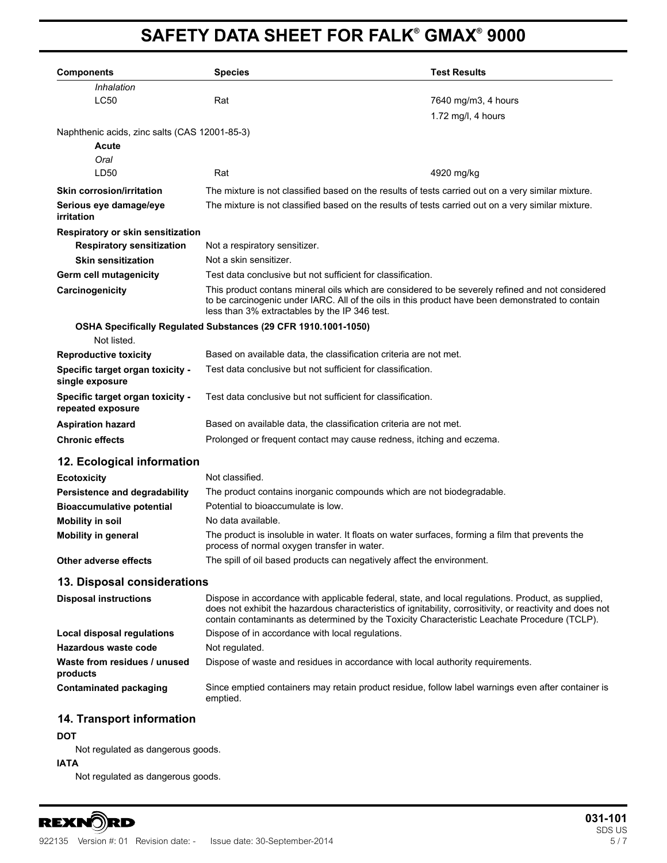| <b>Components</b>                                              | <b>Species</b>                                                                                     | <b>Test Results</b>                                                                                                                                                                                                                                                                                             |  |
|----------------------------------------------------------------|----------------------------------------------------------------------------------------------------|-----------------------------------------------------------------------------------------------------------------------------------------------------------------------------------------------------------------------------------------------------------------------------------------------------------------|--|
| Inhalation                                                     |                                                                                                    |                                                                                                                                                                                                                                                                                                                 |  |
| <b>LC50</b>                                                    | Rat                                                                                                | 7640 mg/m3, 4 hours                                                                                                                                                                                                                                                                                             |  |
|                                                                |                                                                                                    | 1.72 mg/l, 4 hours                                                                                                                                                                                                                                                                                              |  |
| Naphthenic acids, zinc salts (CAS 12001-85-3)                  |                                                                                                    |                                                                                                                                                                                                                                                                                                                 |  |
| Acute                                                          |                                                                                                    |                                                                                                                                                                                                                                                                                                                 |  |
| Oral                                                           |                                                                                                    |                                                                                                                                                                                                                                                                                                                 |  |
| LD50                                                           | Rat                                                                                                | 4920 mg/kg                                                                                                                                                                                                                                                                                                      |  |
| <b>Skin corrosion/irritation</b>                               | The mixture is not classified based on the results of tests carried out on a very similar mixture. |                                                                                                                                                                                                                                                                                                                 |  |
| Serious eye damage/eye<br>irritation                           |                                                                                                    | The mixture is not classified based on the results of tests carried out on a very similar mixture.                                                                                                                                                                                                              |  |
| Respiratory or skin sensitization                              |                                                                                                    |                                                                                                                                                                                                                                                                                                                 |  |
| <b>Respiratory sensitization</b>                               | Not a respiratory sensitizer.                                                                      |                                                                                                                                                                                                                                                                                                                 |  |
| <b>Skin sensitization</b>                                      | Not a skin sensitizer.                                                                             |                                                                                                                                                                                                                                                                                                                 |  |
| Germ cell mutagenicity                                         |                                                                                                    | Test data conclusive but not sufficient for classification.                                                                                                                                                                                                                                                     |  |
| Carcinogenicity                                                |                                                                                                    | This product contans mineral oils which are considered to be severely refined and not considered<br>to be carcinogenic under IARC. All of the oils in this product have been demonstrated to contain<br>less than 3% extractables by the IP 346 test.                                                           |  |
| OSHA Specifically Regulated Substances (29 CFR 1910.1001-1050) |                                                                                                    |                                                                                                                                                                                                                                                                                                                 |  |
| Not listed.                                                    |                                                                                                    |                                                                                                                                                                                                                                                                                                                 |  |
| <b>Reproductive toxicity</b>                                   |                                                                                                    | Based on available data, the classification criteria are not met.                                                                                                                                                                                                                                               |  |
| Specific target organ toxicity -<br>single exposure            | Test data conclusive but not sufficient for classification.                                        |                                                                                                                                                                                                                                                                                                                 |  |
| Specific target organ toxicity -<br>repeated exposure          | Test data conclusive but not sufficient for classification.                                        |                                                                                                                                                                                                                                                                                                                 |  |
| <b>Aspiration hazard</b>                                       | Based on available data, the classification criteria are not met.                                  |                                                                                                                                                                                                                                                                                                                 |  |
| <b>Chronic effects</b>                                         | Prolonged or frequent contact may cause redness, itching and eczema.                               |                                                                                                                                                                                                                                                                                                                 |  |
| 12. Ecological information                                     |                                                                                                    |                                                                                                                                                                                                                                                                                                                 |  |
| <b>Ecotoxicity</b>                                             | Not classified.                                                                                    |                                                                                                                                                                                                                                                                                                                 |  |
| Persistence and degradability                                  |                                                                                                    | The product contains inorganic compounds which are not biodegradable.                                                                                                                                                                                                                                           |  |
| <b>Bioaccumulative potential</b>                               | Potential to bioaccumulate is low.                                                                 |                                                                                                                                                                                                                                                                                                                 |  |
| <b>Mobility in soil</b>                                        | No data available.                                                                                 |                                                                                                                                                                                                                                                                                                                 |  |
| <b>Mobility in general</b>                                     | process of normal oxygen transfer in water.                                                        | The product is insoluble in water. It floats on water surfaces, forming a film that prevents the                                                                                                                                                                                                                |  |
| Other adverse effects                                          |                                                                                                    | The spill of oil based products can negatively affect the environment.                                                                                                                                                                                                                                          |  |
| 13. Disposal considerations                                    |                                                                                                    |                                                                                                                                                                                                                                                                                                                 |  |
| <b>Disposal instructions</b>                                   |                                                                                                    | Dispose in accordance with applicable federal, state, and local regulations. Product, as supplied,<br>does not exhibit the hazardous characteristics of ignitability, corrositivity, or reactivity and does not<br>contain contaminants as determined by the Toxicity Characteristic Leachate Procedure (TCLP). |  |
| Local disposal regulations                                     | Dispose of in accordance with local regulations.                                                   |                                                                                                                                                                                                                                                                                                                 |  |
| Hazardous waste code                                           | Not regulated.                                                                                     |                                                                                                                                                                                                                                                                                                                 |  |
| Waste from residues / unused<br>products                       |                                                                                                    | Dispose of waste and residues in accordance with local authority requirements.                                                                                                                                                                                                                                  |  |
| <b>Contaminated packaging</b>                                  | emptied.                                                                                           | Since emptied containers may retain product residue, follow label warnings even after container is                                                                                                                                                                                                              |  |

# **14. Transport information**

# **DOT**

Not regulated as dangerous goods.

# **IATA**

Not regulated as dangerous goods.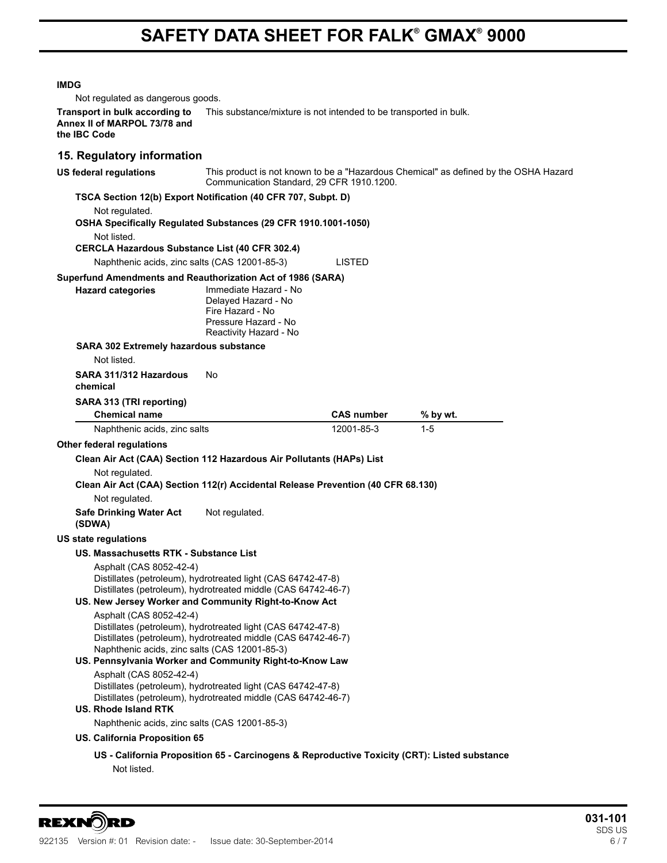### **IMDG**

Not regulated as dangerous goods.

**Transport in bulk according to** This substance/mixture is not intended to be transported in bulk. **Annex II of MARPOL 73/78 and the IBC Code**

# **15. Regulatory information**

**US federal regulations** This product is not known to be a "Hazardous Chemical" as defined by the OSHA Hazard Communication Standard, 29 CFR 1910.1200.

# **TSCA Section 12(b) Export Notification (40 CFR 707, Subpt. D)**

Not regulated.

**OSHA Specifically Regulated Substances (29 CFR 1910.1001-1050)** Not listed. **CERCLA Hazardous Substance List (40 CFR 302.4)** Naphthenic acids, zinc salts (CAS 12001-85-3) LISTED **Superfund Amendments and Reauthorization Act of 1986 (SARA) Handrighter Categories** Immediate Hazard - No

|  | <b>Hazard categori</b> |
|--|------------------------|
|  |                        |
|  |                        |

Delayed Hazard - No Fire Hazard - No Pressure Hazard - No Reactivity Hazard - No

# **SARA 302 Extremely hazardous substance**

Not listed.

### **SARA 311/312 Hazardous chemical** No

### **SARA 313 (TRI reporting)**

| <b>Chemical name</b>         | <b>CAS</b> number | % by wt. |  |
|------------------------------|-------------------|----------|--|
| Naphthenic acids, zinc salts | 12001-85-3        | $1 - 5$  |  |

# **Other federal regulations**

# **Clean Air Act (CAA) Section 112 Hazardous Air Pollutants (HAPs) List**

Not regulated.

# **Clean Air Act (CAA) Section 112(r) Accidental Release Prevention (40 CFR 68.130)**

Not regulated.

**Safe Drinking Water Act (SDWA)** Not regulated.

# **US state regulations**

# **US. Massachusetts RTK - Substance List**

Asphalt (CAS 8052-42-4) Distillates (petroleum), hydrotreated light (CAS 64742-47-8) Distillates (petroleum), hydrotreated middle (CAS 64742-46-7)

# **US. New Jersey Worker and Community Right-to-Know Act**

Asphalt (CAS 8052-42-4)

Distillates (petroleum), hydrotreated light (CAS 64742-47-8) Distillates (petroleum), hydrotreated middle (CAS 64742-46-7) Naphthenic acids, zinc salts (CAS 12001-85-3)

# **US. Pennsylvania Worker and Community Right-to-Know Law**

Asphalt (CAS 8052-42-4) Distillates (petroleum), hydrotreated light (CAS 64742-47-8) Distillates (petroleum), hydrotreated middle (CAS 64742-46-7)

# **US. Rhode Island RTK**

Naphthenic acids, zinc salts (CAS 12001-85-3)

# **US. California Proposition 65**

# **US - California Proposition 65 - Carcinogens & Reproductive Toxicity (CRT): Listed substance** Not listed.